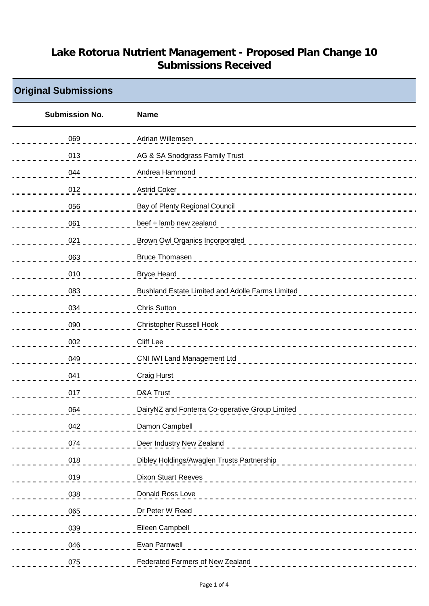## **Lake Rotorua Nutrient Management - Proposed Plan Change 10 Submissions Received**

## **Original Submissions**

| <b>Submission No.</b> | <b>Name</b>                                                              |
|-----------------------|--------------------------------------------------------------------------|
| 069                   | Adrian Willemsen<br>_____________________________                        |
| 013                   | AG & SA Snodgrass Family Trust<br>-------------------------              |
| 044                   | Andrea Hammond                                                           |
| 012                   | <b>Astrid Coker</b>                                                      |
| 056                   | Bay of Plenty Regional Council                                           |
| 061                   | beef + lamb new zealand<br>-----------------------------                 |
| 021                   | Brown Owl Organics Incorporated                                          |
| 063                   | <b>Bruce Thomasen</b>                                                    |
| 010                   | <b>Bryce Heard</b>                                                       |
| 083                   | <b>Bushland Estate Limited and Adolle Farms Limited</b>                  |
| 034                   | <b>Chris Sutton</b>                                                      |
| 090                   | <b>Christopher Russell Hook</b>                                          |
| 002                   | <b>Cliff Lee</b>                                                         |
| 049                   | <b>CNI IWI Land Management Ltd</b><br>______ <b>____________________</b> |
| 041                   | <b>Craig Hurst</b>                                                       |
| 017                   | D&A Trust<br>__________________________________                          |
| 064                   | DairyNZ and Fonterra Co-operative Group Limited                          |
| 042                   | Damon Campbell                                                           |
| 074                   | Deer Industry New Zealand<br>_____________________________               |
| 018                   | Dibley Holdings/Awaglen Trusts Partnership                               |
| 019                   | <b>Dixon Stuart Reeves</b>                                               |
| 038                   | Donald Ross Love                                                         |
| 065                   | Dr Peter W Reed                                                          |
| 039                   | Eileen Campbell<br>_____________________________________                 |
| 046                   | Evan Parnwell                                                            |
| 075                   | Federated Farmers of New Zealand                                         |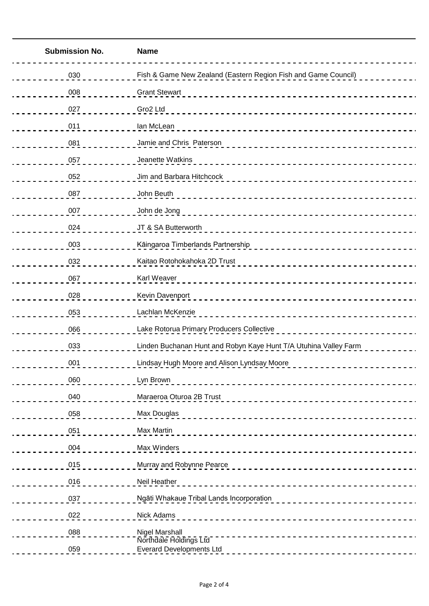| <b>Submission No.</b> | <b>Name</b>                                                                      |
|-----------------------|----------------------------------------------------------------------------------|
| 030                   | Fish & Game New Zealand (Eastern Region Fish and Game Council)                   |
| 008                   | <b>Grant Stewart</b>                                                             |
| 027                   | Gro2 Ltd                                                                         |
| 011                   | lan McLean                                                                       |
| 081                   | Jamie and Chris Paterson                                                         |
| 057                   | Jeanette Watkins<br>____________________________________                         |
| 052                   | Jim and Barbara Hitchcock                                                        |
| 087                   | John Beuth                                                                       |
| 007                   | John de Jong                                                                     |
| 024                   | JT & SA Butterworth<br>----------------------------------                        |
| 003                   | Kāingaroa Timberlands Partnership<br>-----------------------------               |
| 032                   | Kaitao Rotohokahoka 2D Trust                                                     |
| 067                   | Karl Weaver                                                                      |
| 028                   | Kevin Davenport<br><u> 1990 - Para de la calendaria de la calendaria de la c</u> |
| 053                   | Lachlan McKenzie                                                                 |
| 066                   | Lake Rotorua Primary Producers Collective                                        |
| 033                   | Linden Buchanan Hunt and Robyn Kaye Hunt T/A Utuhina Valley Farm                 |
| 001                   | Lindsay Hugh Moore and Alison Lyndsay Moore<br>___________________               |
| 060                   | Lyn Brown<br>__________________________________                                  |
| 040                   | Maraeroa Oturoa 2B Trust                                                         |
| 058                   | Max Douglas                                                                      |
| 051                   | Max Martin                                                                       |
| 004                   | Max Winders                                                                      |
| 015                   | Murray and Robynne Pearce<br>_____________ <b>_______________</b>                |
| 016                   | Neil Heather                                                                     |
| 037                   | Ngāti Whakaue Tribal Lands Incorporation                                         |
| 022                   | Nick Adams                                                                       |
| 088                   | Nigel Marshall<br>__________________________________<br>Northdale Holdings Ltd   |
| 059                   | <b>Everard Developments Ltd</b>                                                  |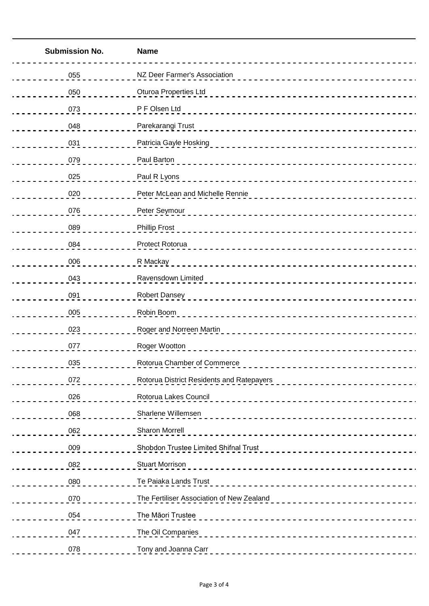| <b>Submission No.</b> | <b>Name</b>                                                                                                                                                                                                                                                    |
|-----------------------|----------------------------------------------------------------------------------------------------------------------------------------------------------------------------------------------------------------------------------------------------------------|
| 055                   | __________________________<br>NZ Deer Farmer's Association<br>________________________________                                                                                                                                                                 |
| 050                   | <b>Oturoa Properties Ltd</b><br>and the contract of the contract of the contract of the contract of the contract of the contract of the contract of the contract of the contract of the contract of the contract of the contract of the contract of the contra |
| 073                   | P F Olsen Ltd                                                                                                                                                                                                                                                  |
| 048                   | Parekarangi Trust                                                                                                                                                                                                                                              |
| 031                   | Patricia Gayle Hosking                                                                                                                                                                                                                                         |
| 079                   | Paul Barton                                                                                                                                                                                                                                                    |
| 025                   | Paul R Lyons                                                                                                                                                                                                                                                   |
| 020                   | Peter McLean and Michelle Rennie<br>______________________________                                                                                                                                                                                             |
| 076                   | Peter Seymour                                                                                                                                                                                                                                                  |
| 089                   | <b>Phillip Frost</b>                                                                                                                                                                                                                                           |
| 084                   | Protect Rotorua                                                                                                                                                                                                                                                |
| 006                   | R Mackay                                                                                                                                                                                                                                                       |
| 043                   | Ravensdown Limited                                                                                                                                                                                                                                             |
| 091                   | <b>Robert Dansey</b><br>__________________________________                                                                                                                                                                                                     |
| 005                   | Robin Boom<br>___________________________                                                                                                                                                                                                                      |
| 023                   | Roger and Norreen Martin<br>_____________________________                                                                                                                                                                                                      |
| 077                   | Roger Wootton                                                                                                                                                                                                                                                  |
| 035                   | Rotorua Chamber of Commerce<br>________________________________                                                                                                                                                                                                |
| 072                   | Rotorua District Residents and Ratepayers                                                                                                                                                                                                                      |
| 026                   | Rotorua Lakes Council                                                                                                                                                                                                                                          |
| 068                   | Sharlene Willemsen                                                                                                                                                                                                                                             |
| 062                   | <b>Sharon Morrell</b>                                                                                                                                                                                                                                          |
| 009                   | Shobdon Trustee Limited Shifnal Trust<br>__________ <b>______________</b> __                                                                                                                                                                                   |
| 082                   | <b>Stuart Morrison</b>                                                                                                                                                                                                                                         |
| 080                   | Te Paiaka Lands Trust<br>_________________________________                                                                                                                                                                                                     |
| 070                   | The Fertiliser Association of New Zealand<br>__________________________                                                                                                                                                                                        |
| 054                   | The Māori Trustee                                                                                                                                                                                                                                              |
| 047                   | The Oil Companies                                                                                                                                                                                                                                              |
| 078                   | Tony and Joanna Carr                                                                                                                                                                                                                                           |